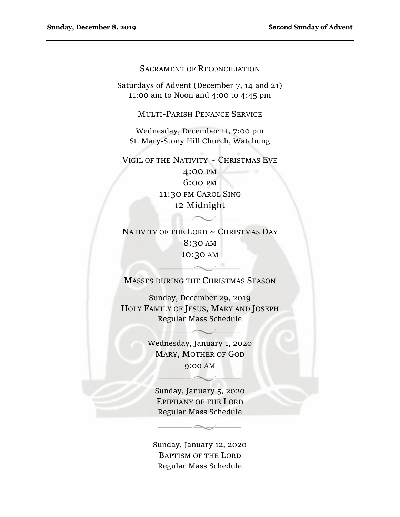#### SACRAMENT OF RECONCILIATION

Saturdays of Advent (December 7, 14 and 21) 11:00 am to Noon and 4:00 to 4:45 pm

MULTI-PARISH PENANCE SERVICE

Wednesday, December 11, 7:00 pm St. Mary-Stony Hill Church, Watchung

VIGIL OF THE NATIVITY  $\sim$  CHRISTMAS EVE

4:00 PM 6:00 PM 11:30 PM CAROL SING 12 Midnight

NATIVITY OF THE LORD ~ CHRISTMAS DAY 8:30 AM 10:30 AM

MASSES DURING THE CHRISTMAS SEASON

 $\overline{\phantom{a}}$ 

Sunday, December 29, 2019 HOLY FAMILY OF JESUS, MARY AND JOSEPH Regular Mass Schedule

> Wednesday, January 1, 2020 MARY, MOTHER OF GOD 9:00 AM

Sunday, January 5, 2020 EPIPHANY OF THE LORD Regular Mass Schedule

Sunday, January 12, 2020 BAPTISM OF THE LORD Regular Mass Schedule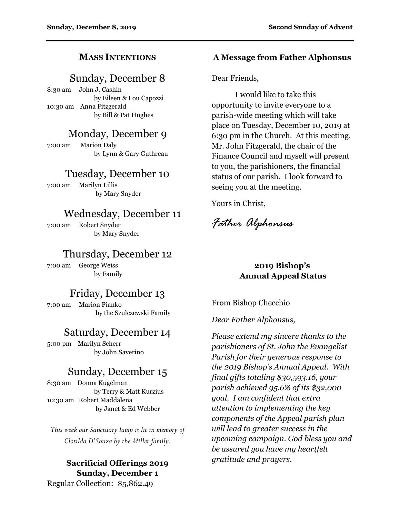## **MASS INTENTIONS**

# Sunday, December 8

8:30 am John J. Cashin by Eileen & Lou Capozzi 10:30 am Anna Fitzgerald by Bill & Pat Hughes

# Monday, December 9

7:00 am Marion Daly by Lynn & Gary Guthreau

## Tuesday, December 10

7:00 am Marilyn Lillis by Mary Snyder

# Wednesday, December 11

7:00 am Robert Snyder by Mary Snyder

# Thursday, December 12

7:00 am George Weiss by Family

# Friday, December 13

7:00 am Marion Pianko by the Szulczewski Family

# Saturday, December 14

5:00 pm Marilyn Scherr by John Saverino

# Sunday, December 15

8:30 am Donna Kugelman by Terry & Matt Kurzius 10:30 am Robert Maddalena by Janet & Ed Webber

*This week our Sanctuary lamp is lit in memory of Clotilda D'Souza by the Miller family.* 

# **Sacrificial Offerings 2019 Sunday, December 1**

Regular Collection: \$5,862.49

### **A Message from Father Alphonsus**

Dear Friends,

 I would like to take this opportunity to invite everyone to a parish-wide meeting which will take place on Tuesday, December 10, 2019 at 6:30 pm in the Church. At this meeting, Mr. John Fitzgerald, the chair of the Finance Council and myself will present to you, the parishioners, the financial status of our parish. I look forward to seeing you at the meeting.

Yours in Christ,

*Father Alphonsus* 

## **2019 Bishop's Annual Appeal Status**

From Bishop Checchio

*Dear Father Alphonsus,* 

*Please extend my sincere thanks to the parishioners of St. John the Evangelist Parish for their generous response to the 2019 Bishop's Annual Appeal. With final gifts totaling \$30,593.16, your parish achieved 95.6% of its \$32,000 goal. I am confident that extra attention to implementing the key components of the Appeal parish plan will lead to greater success in the upcoming campaign. God bless you and be assured you have my heartfelt gratitude and prayers.*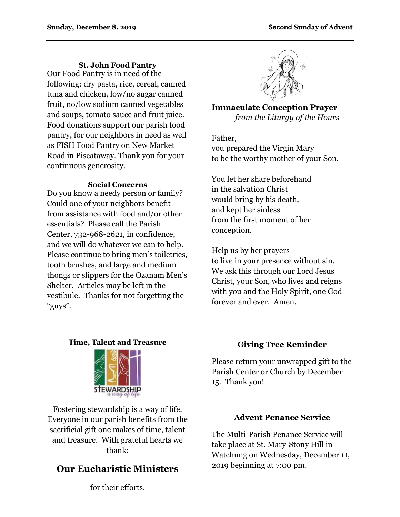#### **St. John Food Pantry**

Our Food Pantry is in need of the following: dry pasta, rice, cereal, canned tuna and chicken, low/no sugar canned fruit, no/low sodium canned vegetables and soups, tomato sauce and fruit juice. Food donations support our parish food pantry, for our neighbors in need as well as FISH Food Pantry on New Market Road in Piscataway. Thank you for your continuous generosity.

#### **Social Concerns**

Do you know a needy person or family? Could one of your neighbors benefit from assistance with food and/or other essentials? Please call the Parish Center, 732-968-2621, in confidence, and we will do whatever we can to help. Please continue to bring men's toiletries, tooth brushes, and large and medium thongs or slippers for the Ozanam Men's Shelter. Articles may be left in the vestibule. Thanks for not forgetting the "guys".

**Immaculate Conception Prayer**  *from the Liturgy of the Hours* 

Father, you prepared the Virgin Mary to be the worthy mother of your Son.

You let her share beforehand in the salvation Christ would bring by his death, and kept her sinless from the first moment of her conception.

Help us by her prayers to live in your presence without sin. We ask this through our Lord Jesus Christ, your Son, who lives and reigns with you and the Holy Spirit, one God forever and ever. Amen.

#### **Time, Talent and Treasure**



Fostering stewardship is a way of life. Everyone in our parish benefits from the sacrificial gift one makes of time, talent and treasure. With grateful hearts we thank:

# **Our Eucharistic Ministers**

for their efforts.

## **Giving Tree Reminder**

Please return your unwrapped gift to the Parish Center or Church by December 15. Thank you!

### **Advent Penance Service**

The Multi-Parish Penance Service will take place at St. Mary-Stony Hill in Watchung on Wednesday, December 11, 2019 beginning at 7:00 pm.